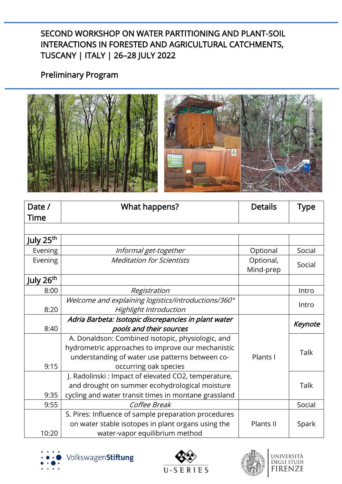## Preliminary Program



| Date /                | What happens?                                        | <b>Details</b>         | Type    |
|-----------------------|------------------------------------------------------|------------------------|---------|
| <b>Time</b>           |                                                      |                        |         |
|                       |                                                      |                        |         |
| July 25 <sup>th</sup> |                                                      |                        |         |
| Evening               | Informal get-together                                | Optional               | Social  |
| Evening               | <b>Meditation for Scientists</b>                     | Optional,<br>Mind-prep | Social  |
| July 26 <sup>th</sup> |                                                      |                        |         |
| 8:00                  | Registration                                         |                        | Intro   |
|                       | Welcome and explaining logistics/introductions/360°  |                        | Intro   |
| 8:20                  | Highlight Introduction                               |                        |         |
|                       | Adria Barbeta: Isotopic discrepancies in plant water |                        | Keynote |
| 8:40                  | pools and their sources                              |                        |         |
|                       | A. Donaldson: Combined isotopic, physiologic, and    |                        |         |
|                       | hydrometric approaches to improve our mechanistic    |                        | Talk    |
|                       | understanding of water use patterns between co-      | Plants I               |         |
| 9:15                  | occurring oak species                                |                        |         |
|                       | J. Radolinski: Impact of elevated CO2, temperature,  |                        |         |
|                       | and drought on summer ecohydrological moisture       |                        | Talk    |
| 9:35                  | cycling and water transit times in montane grassland |                        |         |
| 9:55                  | Coffee Break                                         |                        | Social  |
|                       | S. Pires: Influence of sample preparation procedures |                        |         |
|                       | on water stable isotopes in plant organs using the   | Plants II              | Spark   |
| 10:20                 | water-vapor equilibrium method                       |                        |         |





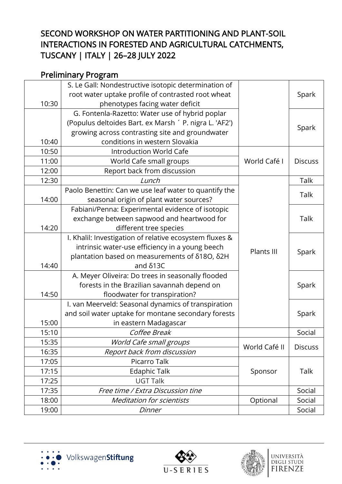## Preliminary Program

|       | S. Le Gall: Nondestructive isotopic determination of    |               |                |
|-------|---------------------------------------------------------|---------------|----------------|
|       | root water uptake profile of contrasted root wheat      |               | Spark          |
| 10:30 | phenotypes facing water deficit                         |               |                |
|       | G. Fontenla-Razetto: Water use of hybrid poplar         |               |                |
|       | (Populus deltoides Bart. ex Marsh ' P. nigra L. 'AF2')  |               | Spark          |
|       | growing across contrasting site and groundwater         |               |                |
| 10:40 | conditions in western Slovakia                          |               |                |
| 10:50 | <b>Introduction World Cafe</b>                          |               |                |
| 11:00 | World Cafe small groups                                 | World Café I  | <b>Discuss</b> |
| 12:00 | Report back from discussion                             |               |                |
| 12:30 | Lunch                                                   |               | Talk           |
|       | Paolo Benettin: Can we use leaf water to quantify the   |               | Talk           |
| 14:00 | seasonal origin of plant water sources?                 |               |                |
|       | Fabiani/Penna: Experimental evidence of isotopic        |               |                |
|       | exchange between sapwood and heartwood for              |               | Talk           |
| 14:20 | different tree species                                  |               |                |
|       | I. Khalil: Investigation of relative ecosystem fluxes & |               |                |
|       | intrinsic water-use efficiency in a young beech         | Plants III    | Spark          |
|       | plantation based on measurements of δ18O, δ2H           |               |                |
| 14:40 | and $\delta$ 13C                                        |               |                |
|       | A. Meyer Oliveira: Do trees in seasonally flooded       |               |                |
|       | forests in the Brazilian savannah depend on             |               | Spark          |
| 14:50 | floodwater for transpiration?                           |               |                |
|       | I. van Meerveld: Seasonal dynamics of transpiration     |               |                |
|       | and soil water uptake for montane secondary forests     |               | Spark          |
| 15:00 | in eastern Madagascar                                   |               |                |
| 15:10 | Coffee Break                                            |               | Social         |
| 15:35 | World Cafe small groups                                 | World Café II | <b>Discuss</b> |
| 16:35 | Report back from discussion                             |               |                |
| 17:05 | Picarro Talk                                            |               |                |
| 17:15 | <b>Edaphic Talk</b>                                     | Sponsor       | Talk           |
| 17:25 | <b>UGT Talk</b>                                         |               |                |
| 17:35 | Free time / Extra Discussion tine                       |               | Social         |
| 18:00 | <b>Meditation for scientists</b>                        | Optional      | Social         |
| 19:00 | Dinner                                                  |               | Social         |





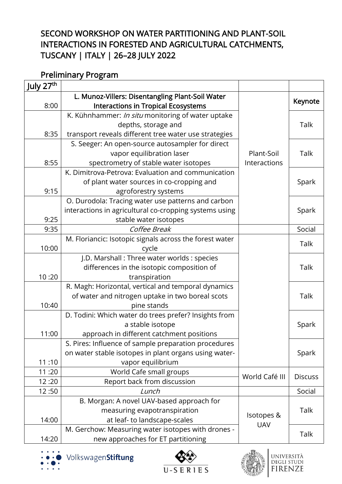## Preliminary Program

| L. Munoz-Villers: Disentangling Plant-Soil Water      |                                                                                                                                                                                                                                                                                                                                                                                                                                                                                                                                                                                                                                                                                                                                                                                                                                                                                                                                                                                                                                                                                                             | Keynote        |
|-------------------------------------------------------|-------------------------------------------------------------------------------------------------------------------------------------------------------------------------------------------------------------------------------------------------------------------------------------------------------------------------------------------------------------------------------------------------------------------------------------------------------------------------------------------------------------------------------------------------------------------------------------------------------------------------------------------------------------------------------------------------------------------------------------------------------------------------------------------------------------------------------------------------------------------------------------------------------------------------------------------------------------------------------------------------------------------------------------------------------------------------------------------------------------|----------------|
| <b>Interactions in Tropical Ecosystems</b>            |                                                                                                                                                                                                                                                                                                                                                                                                                                                                                                                                                                                                                                                                                                                                                                                                                                                                                                                                                                                                                                                                                                             |                |
| K. Kühnhammer: In situ monitoring of water uptake     |                                                                                                                                                                                                                                                                                                                                                                                                                                                                                                                                                                                                                                                                                                                                                                                                                                                                                                                                                                                                                                                                                                             |                |
| depths, storage and                                   |                                                                                                                                                                                                                                                                                                                                                                                                                                                                                                                                                                                                                                                                                                                                                                                                                                                                                                                                                                                                                                                                                                             | <b>Talk</b>    |
| transport reveals different tree water use strategies |                                                                                                                                                                                                                                                                                                                                                                                                                                                                                                                                                                                                                                                                                                                                                                                                                                                                                                                                                                                                                                                                                                             |                |
| S. Seeger: An open-source autosampler for direct      |                                                                                                                                                                                                                                                                                                                                                                                                                                                                                                                                                                                                                                                                                                                                                                                                                                                                                                                                                                                                                                                                                                             |                |
| vapor equilibration laser                             |                                                                                                                                                                                                                                                                                                                                                                                                                                                                                                                                                                                                                                                                                                                                                                                                                                                                                                                                                                                                                                                                                                             | Talk           |
|                                                       | Interactions                                                                                                                                                                                                                                                                                                                                                                                                                                                                                                                                                                                                                                                                                                                                                                                                                                                                                                                                                                                                                                                                                                |                |
|                                                       |                                                                                                                                                                                                                                                                                                                                                                                                                                                                                                                                                                                                                                                                                                                                                                                                                                                                                                                                                                                                                                                                                                             |                |
| of plant water sources in co-cropping and             |                                                                                                                                                                                                                                                                                                                                                                                                                                                                                                                                                                                                                                                                                                                                                                                                                                                                                                                                                                                                                                                                                                             | Spark          |
| agroforestry systems                                  |                                                                                                                                                                                                                                                                                                                                                                                                                                                                                                                                                                                                                                                                                                                                                                                                                                                                                                                                                                                                                                                                                                             |                |
|                                                       |                                                                                                                                                                                                                                                                                                                                                                                                                                                                                                                                                                                                                                                                                                                                                                                                                                                                                                                                                                                                                                                                                                             |                |
|                                                       |                                                                                                                                                                                                                                                                                                                                                                                                                                                                                                                                                                                                                                                                                                                                                                                                                                                                                                                                                                                                                                                                                                             | Spark          |
|                                                       |                                                                                                                                                                                                                                                                                                                                                                                                                                                                                                                                                                                                                                                                                                                                                                                                                                                                                                                                                                                                                                                                                                             |                |
|                                                       |                                                                                                                                                                                                                                                                                                                                                                                                                                                                                                                                                                                                                                                                                                                                                                                                                                                                                                                                                                                                                                                                                                             | Social         |
|                                                       |                                                                                                                                                                                                                                                                                                                                                                                                                                                                                                                                                                                                                                                                                                                                                                                                                                                                                                                                                                                                                                                                                                             | Talk           |
|                                                       |                                                                                                                                                                                                                                                                                                                                                                                                                                                                                                                                                                                                                                                                                                                                                                                                                                                                                                                                                                                                                                                                                                             |                |
|                                                       |                                                                                                                                                                                                                                                                                                                                                                                                                                                                                                                                                                                                                                                                                                                                                                                                                                                                                                                                                                                                                                                                                                             |                |
|                                                       |                                                                                                                                                                                                                                                                                                                                                                                                                                                                                                                                                                                                                                                                                                                                                                                                                                                                                                                                                                                                                                                                                                             | Talk           |
|                                                       |                                                                                                                                                                                                                                                                                                                                                                                                                                                                                                                                                                                                                                                                                                                                                                                                                                                                                                                                                                                                                                                                                                             |                |
|                                                       |                                                                                                                                                                                                                                                                                                                                                                                                                                                                                                                                                                                                                                                                                                                                                                                                                                                                                                                                                                                                                                                                                                             |                |
|                                                       |                                                                                                                                                                                                                                                                                                                                                                                                                                                                                                                                                                                                                                                                                                                                                                                                                                                                                                                                                                                                                                                                                                             | Talk           |
|                                                       |                                                                                                                                                                                                                                                                                                                                                                                                                                                                                                                                                                                                                                                                                                                                                                                                                                                                                                                                                                                                                                                                                                             |                |
|                                                       |                                                                                                                                                                                                                                                                                                                                                                                                                                                                                                                                                                                                                                                                                                                                                                                                                                                                                                                                                                                                                                                                                                             |                |
|                                                       |                                                                                                                                                                                                                                                                                                                                                                                                                                                                                                                                                                                                                                                                                                                                                                                                                                                                                                                                                                                                                                                                                                             | Spark          |
|                                                       |                                                                                                                                                                                                                                                                                                                                                                                                                                                                                                                                                                                                                                                                                                                                                                                                                                                                                                                                                                                                                                                                                                             |                |
|                                                       |                                                                                                                                                                                                                                                                                                                                                                                                                                                                                                                                                                                                                                                                                                                                                                                                                                                                                                                                                                                                                                                                                                             |                |
|                                                       |                                                                                                                                                                                                                                                                                                                                                                                                                                                                                                                                                                                                                                                                                                                                                                                                                                                                                                                                                                                                                                                                                                             | Spark          |
|                                                       |                                                                                                                                                                                                                                                                                                                                                                                                                                                                                                                                                                                                                                                                                                                                                                                                                                                                                                                                                                                                                                                                                                             |                |
|                                                       | World Café III                                                                                                                                                                                                                                                                                                                                                                                                                                                                                                                                                                                                                                                                                                                                                                                                                                                                                                                                                                                                                                                                                              | <b>Discuss</b> |
|                                                       |                                                                                                                                                                                                                                                                                                                                                                                                                                                                                                                                                                                                                                                                                                                                                                                                                                                                                                                                                                                                                                                                                                             | Social         |
|                                                       |                                                                                                                                                                                                                                                                                                                                                                                                                                                                                                                                                                                                                                                                                                                                                                                                                                                                                                                                                                                                                                                                                                             |                |
|                                                       | Isotopes &<br><b>UAV</b>                                                                                                                                                                                                                                                                                                                                                                                                                                                                                                                                                                                                                                                                                                                                                                                                                                                                                                                                                                                                                                                                                    | Talk           |
|                                                       |                                                                                                                                                                                                                                                                                                                                                                                                                                                                                                                                                                                                                                                                                                                                                                                                                                                                                                                                                                                                                                                                                                             |                |
|                                                       |                                                                                                                                                                                                                                                                                                                                                                                                                                                                                                                                                                                                                                                                                                                                                                                                                                                                                                                                                                                                                                                                                                             | Talk           |
|                                                       |                                                                                                                                                                                                                                                                                                                                                                                                                                                                                                                                                                                                                                                                                                                                                                                                                                                                                                                                                                                                                                                                                                             |                |
|                                                       | spectrometry of stable water isotopes<br>K. Dimitrova-Petrova: Evaluation and communication<br>O. Durodola: Tracing water use patterns and carbon<br>interactions in agricultural co-cropping systems using<br>stable water isotopes<br>Coffee Break<br>M. Floriancic: Isotopic signals across the forest water<br>cycle<br>J.D. Marshall: Three water worlds: species<br>differences in the isotopic composition of<br>transpiration<br>R. Magh: Horizontal, vertical and temporal dynamics<br>of water and nitrogen uptake in two boreal scots<br>pine stands<br>D. Todini: Which water do trees prefer? Insights from<br>a stable isotope<br>approach in different catchment positions<br>S. Pires: Influence of sample preparation procedures<br>on water stable isotopes in plant organs using water-<br>vapor equilibrium<br>World Cafe small groups<br>Report back from discussion<br>Lunch<br>B. Morgan: A novel UAV-based approach for<br>measuring evapotranspiration<br>at leaf- to landscape-scales<br>M. Gerchow: Measuring water isotopes with drones -<br>new approaches for ET partitioning | Plant-Soil     |









università<br>degli studi<br>FIRENZE